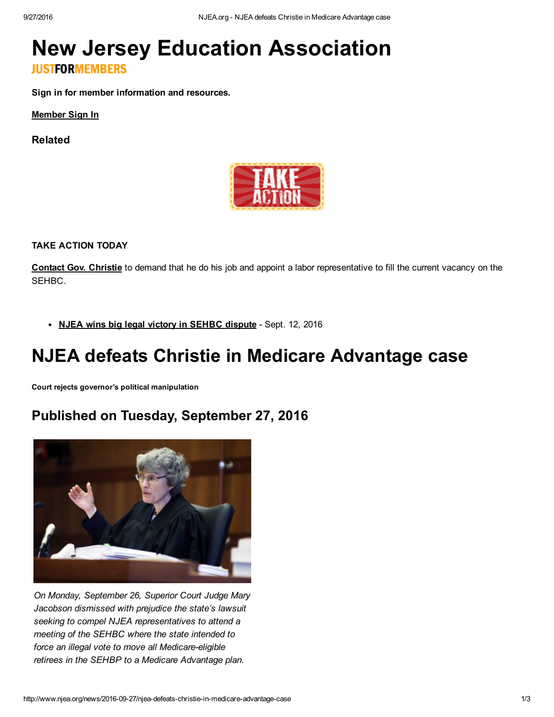# New Jersey Education [Association](http://www.njea.org/) **JUSTFORMEMBERS**

Sign in for member information and resources.

[Member](javascript:toggle_signin();) Sign In

Related



TAKE ACTION TODAY

Contact Gov. [Christie](http://www.njea.org/issues-and-political-action/take-action/action-network-5) to demand that he do his job and appoint a labor representative to fill the current vacancy on the SEHBC.

• NJEA wins big legal victory in [SEHBC](http://www.njea.org/news/2016/09/12/njea%20wins%20big%20legal%20victory%20in%20sehbc%20dispute) dispute - Sept. 12, 2016

# NJEA defeats Christie in Medicare Advantage case

Court rejects governor's political manipulation

## Published on Tuesday, September 27, 2016



*On Monday, September 26, Superior Court Judge Mary Jacobson dismissed with prejudice the state's lawsuit seeking to compel NJEA representatives to attend a meeting of the SEHBC where the state intended to force* an *illegal* vote to move all Medicare-eligible *retirees in the SEHBP to a Medicare Advantage plan.*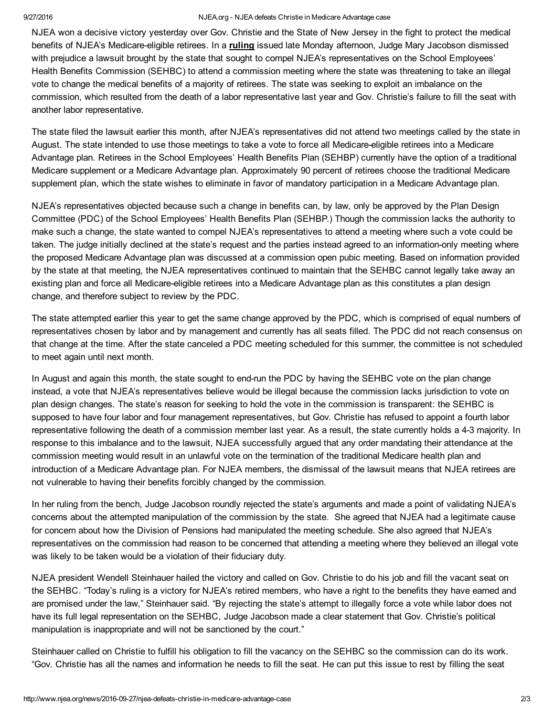### 9/27/2016 NJEA.org NJEA defeats Christie in Medicare Advantage case

NJEA won a decisive victory yesterday over Gov. Christie and the State of New Jersey in the fight to protect the medical benefits of NJEA's Medicare-eligible retirees. In a [ruling](http://www.njea.org/njea-media/pdf/SEHBPOrder.pdf?1475000366587) issued late Monday afternoon, Judge Mary Jacobson dismissed with prejudice a lawsuit brought by the state that sought to compel NJEA's representatives on the School Employees' Health Benefits Commission (SEHBC) to attend a commission meeting where the state was threatening to take an illegal vote to change the medical benefits of a majority of retirees. The state was seeking to exploit an imbalance on the commission, which resulted from the death of a labor representative last year and Gov. Christie's failure to fill the seat with another labor representative.

The state filed the lawsuit earlier this month, after NJEA's representatives did not attend two meetings called by the state in August. The state intended to use those meetings to take a vote to force all Medicare-eligible retirees into a Medicare Advantage plan. Retirees in the School Employees' Health Benefits Plan (SEHBP) currently have the option of a traditional Medicare supplement or a Medicare Advantage plan. Approximately 90 percent of retirees choose the traditional Medicare supplement plan, which the state wishes to eliminate in favor of mandatory participation in a Medicare Advantage plan.

NJEA's representatives objected because such a change in benefits can, by law, only be approved by the Plan Design Committee (PDC) of the School Employees' Health Benefits Plan (SEHBP.) Though the commission lacks the authority to make such a change, the state wanted to compel NJEA's representatives to attend a meeting where such a vote could be taken. The judge initially declined at the state's request and the parties instead agreed to an information-only meeting where the proposed Medicare Advantage plan was discussed at a commission open pubic meeting. Based on information provided by the state at that meeting, the NJEA representatives continued to maintain that the SEHBC cannot legally take away an existing plan and force all Medicare-eligible retirees into a Medicare Advantage plan as this constitutes a plan design change, and therefore subject to review by the PDC.

The state attempted earlier this year to get the same change approved by the PDC, which is comprised of equal numbers of representatives chosen by labor and by management and currently has all seats filled. The PDC did not reach consensus on that change at the time. After the state canceled a PDC meeting scheduled for this summer, the committee is not scheduled to meet again until next month.

In August and again this month, the state sought to end-run the PDC by having the SEHBC vote on the plan change instead, a vote that NJEA's representatives believe would be illegal because the commission lacks jurisdiction to vote on plan design changes. The state's reason for seeking to hold the vote in the commission is transparent: the SEHBC is supposed to have four labor and four management representatives, but Gov. Christie has refused to appoint a fourth labor representative following the death of a commission member last year. As a result, the state currently holds a 43 majority. In response to this imbalance and to the lawsuit, NJEA successfully argued that any order mandating their attendance at the commission meeting would result in an unlawful vote on the termination of the traditional Medicare health plan and introduction of a Medicare Advantage plan. For NJEA members, the dismissal of the lawsuit means that NJEA retirees are not vulnerable to having their benefits forcibly changed by the commission.

In her ruling from the bench, Judge Jacobson roundly rejected the state's arguments and made a point of validating NJEA's concerns about the attempted manipulation of the commission by the state. She agreed that NJEA had a legitimate cause for concern about how the Division of Pensions had manipulated the meeting schedule. She also agreed that NJEA's representatives on the commission had reason to be concerned that attending a meeting where they believed an illegal vote was likely to be taken would be a violation of their fiduciary duty.

NJEA president Wendell Steinhauer hailed the victory and called on Gov. Christie to do his job and fill the vacant seat on the SEHBC. "Today's ruling is a victory for NJEA's retired members, who have a right to the benefits they have earned and are promised under the law," Steinhauer said. "By rejecting the state's attempt to illegally force a vote while labor does not have its full legal representation on the SEHBC, Judge Jacobson made a clear statement that Gov. Christie's political manipulation is inappropriate and will not be sanctioned by the court."

Steinhauer called on Christie to fulfill his obligation to fill the vacancy on the SEHBC so the commission can do its work. "Gov. Christie has all the names and information he needs to fill the seat. He can put this issue to rest by filling the seat